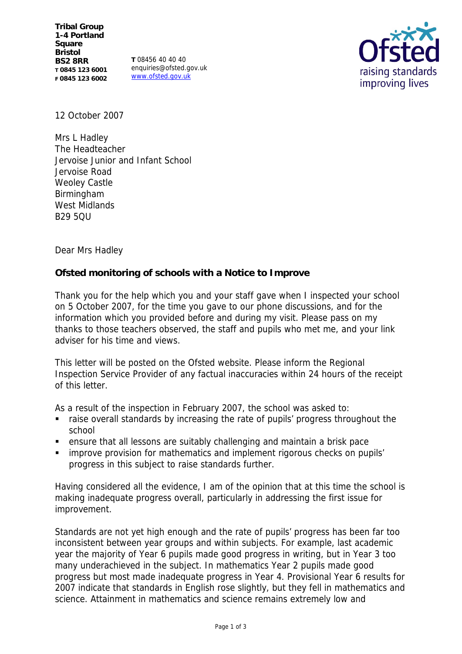**T** 08456 40 40 40 enquiries@ofsted.gov.uk www.ofsted.gov.uk



12 October 2007

Mrs L Hadley The Headteacher Jervoise Junior and Infant School Jervoise Road Weoley Castle Birmingham West Midlands B29 5QU

Dear Mrs Hadley

**Ofsted monitoring of schools with a Notice to Improve**

Thank you for the help which you and your staff gave when I inspected your school on 5 October 2007, for the time you gave to our phone discussions, and for the information which you provided before and during my visit. Please pass on my thanks to those teachers observed, the staff and pupils who met me, and your link adviser for his time and views.

This letter will be posted on the Ofsted website. Please inform the Regional Inspection Service Provider of any factual inaccuracies within 24 hours of the receipt of this letter.

As a result of the inspection in February 2007, the school was asked to:

- raise overall standards by increasing the rate of pupils' progress throughout the school
- ensure that all lessons are suitably challenging and maintain a brisk pace
- **EXT** improve provision for mathematics and implement rigorous checks on pupils' progress in this subject to raise standards further.

Having considered all the evidence, I am of the opinion that at this time the school is making inadequate progress overall, particularly in addressing the first issue for improvement.

Standards are not yet high enough and the rate of pupils' progress has been far too inconsistent between year groups and within subjects. For example, last academic year the majority of Year 6 pupils made good progress in writing, but in Year 3 too many underachieved in the subject. In mathematics Year 2 pupils made good progress but most made inadequate progress in Year 4. Provisional Year 6 results for 2007 indicate that standards in English rose slightly, but they fell in mathematics and science. Attainment in mathematics and science remains extremely low and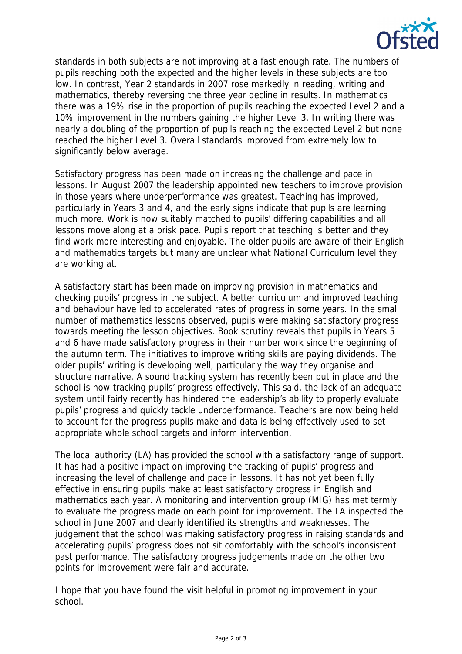

standards in both subjects are not improving at a fast enough rate. The numbers of pupils reaching both the expected and the higher levels in these subjects are too low. In contrast, Year 2 standards in 2007 rose markedly in reading, writing and mathematics, thereby reversing the three year decline in results. In mathematics there was a 19% rise in the proportion of pupils reaching the expected Level 2 and a 10% improvement in the numbers gaining the higher Level 3. In writing there was nearly a doubling of the proportion of pupils reaching the expected Level 2 but none reached the higher Level 3. Overall standards improved from extremely low to significantly below average.

Satisfactory progress has been made on increasing the challenge and pace in lessons. In August 2007 the leadership appointed new teachers to improve provision in those years where underperformance was greatest. Teaching has improved, particularly in Years 3 and 4, and the early signs indicate that pupils are learning much more. Work is now suitably matched to pupils' differing capabilities and all lessons move along at a brisk pace. Pupils report that teaching is better and they find work more interesting and enjoyable. The older pupils are aware of their English and mathematics targets but many are unclear what National Curriculum level they are working at.

A satisfactory start has been made on improving provision in mathematics and checking pupils' progress in the subject. A better curriculum and improved teaching and behaviour have led to accelerated rates of progress in some years. In the small number of mathematics lessons observed, pupils were making satisfactory progress towards meeting the lesson objectives. Book scrutiny reveals that pupils in Years 5 and 6 have made satisfactory progress in their number work since the beginning of the autumn term. The initiatives to improve writing skills are paying dividends. The older pupils' writing is developing well, particularly the way they organise and structure narrative. A sound tracking system has recently been put in place and the school is now tracking pupils' progress effectively. This said, the lack of an adequate system until fairly recently has hindered the leadership's ability to properly evaluate pupils' progress and quickly tackle underperformance. Teachers are now being held to account for the progress pupils make and data is being effectively used to set appropriate whole school targets and inform intervention.

The local authority (LA) has provided the school with a satisfactory range of support. It has had a positive impact on improving the tracking of pupils' progress and increasing the level of challenge and pace in lessons. It has not yet been fully effective in ensuring pupils make at least satisfactory progress in English and mathematics each year. A monitoring and intervention group (MIG) has met termly to evaluate the progress made on each point for improvement. The LA inspected the school in June 2007 and clearly identified its strengths and weaknesses. The judgement that the school was making satisfactory progress in raising standards and accelerating pupils' progress does not sit comfortably with the school's inconsistent past performance. The satisfactory progress judgements made on the other two points for improvement were fair and accurate.

I hope that you have found the visit helpful in promoting improvement in your school.